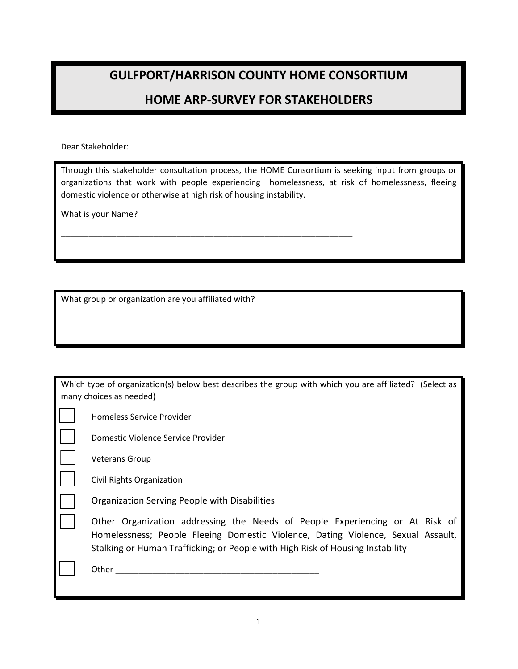## **GULFPORT/HARRISON COUNTY HOME CONSORTIUM**

## **HOME ARP‐SURVEY FOR STAKEHOLDERS**

Dear Stakeholder:

Through this stakeholder consultation process, the HOME Consortium is seeking input from groups or organizations that work with people experiencing homelessness, at risk of homelessness, fleeing domestic violence or otherwise at high risk of housing instability.

\_\_\_\_\_\_\_\_\_\_\_\_\_\_\_\_\_\_\_\_\_\_\_\_\_\_\_\_\_\_\_\_\_\_\_\_\_\_\_\_\_\_\_\_\_\_\_\_\_\_\_\_\_\_\_\_\_\_\_\_\_\_\_\_\_\_\_\_\_\_\_\_\_\_\_\_\_\_\_\_\_\_\_\_\_

What is your Name?

What group or organization are you affiliated with?

\_\_\_\_\_\_\_\_\_\_\_\_\_\_\_\_\_\_\_\_\_\_\_\_\_\_\_\_\_\_\_\_\_\_\_\_\_\_\_\_\_\_\_\_\_\_\_\_\_\_\_\_\_\_\_\_\_\_\_\_\_\_\_

| Which type of organization(s) below best describes the group with which you are affiliated? (Select as                                                                                                                                             |  |  |  |  |  |  |
|----------------------------------------------------------------------------------------------------------------------------------------------------------------------------------------------------------------------------------------------------|--|--|--|--|--|--|
| many choices as needed)                                                                                                                                                                                                                            |  |  |  |  |  |  |
| Homeless Service Provider                                                                                                                                                                                                                          |  |  |  |  |  |  |
| Domestic Violence Service Provider                                                                                                                                                                                                                 |  |  |  |  |  |  |
| <b>Veterans Group</b>                                                                                                                                                                                                                              |  |  |  |  |  |  |
| Civil Rights Organization                                                                                                                                                                                                                          |  |  |  |  |  |  |
| Organization Serving People with Disabilities                                                                                                                                                                                                      |  |  |  |  |  |  |
| Other Organization addressing the Needs of People Experiencing or At Risk of<br>Homelessness; People Fleeing Domestic Violence, Dating Violence, Sexual Assault,<br>Stalking or Human Trafficking; or People with High Risk of Housing Instability |  |  |  |  |  |  |
| Other                                                                                                                                                                                                                                              |  |  |  |  |  |  |
|                                                                                                                                                                                                                                                    |  |  |  |  |  |  |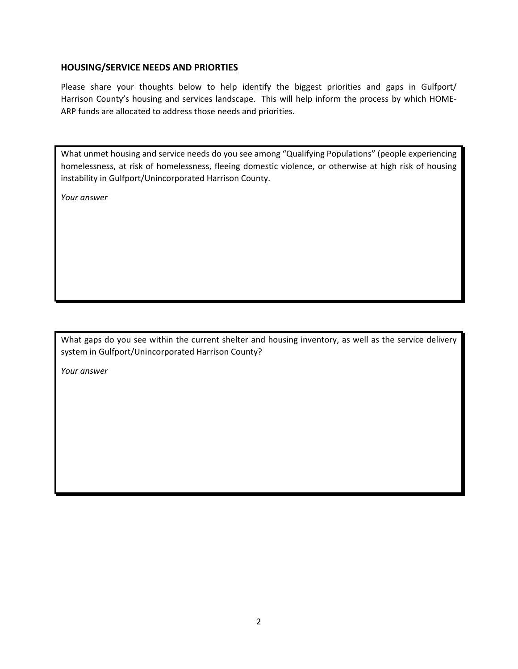## **HOUSING/SERVICE NEEDS AND PRIORTIES**

Please share your thoughts below to help identify the biggest priorities and gaps in Gulfport/ Harrison County's housing and services landscape. This will help inform the process by which HOME‐ ARP funds are allocated to address those needs and priorities.

What unmet housing and service needs do you see among "Qualifying Populations" (people experiencing homelessness, at risk of homelessness, fleeing domestic violence, or otherwise at high risk of housing instability in Gulfport/Unincorporated Harrison County.

*Your answer*

What gaps do you see within the current shelter and housing inventory, as well as the service delivery system in Gulfport/Unincorporated Harrison County?

*Your answer*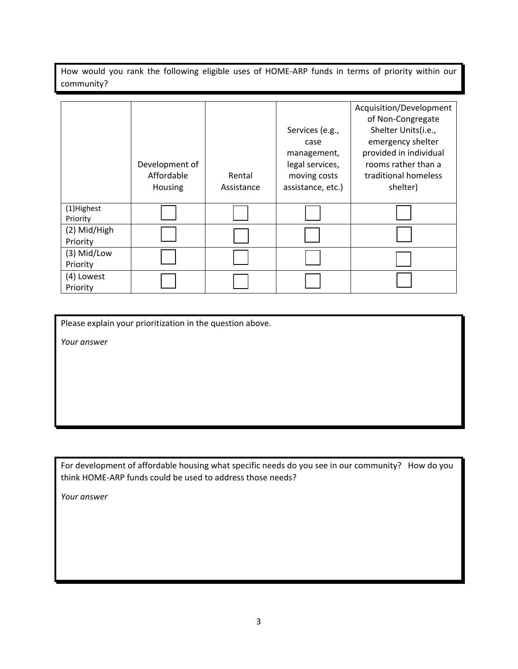How would you rank the following eligible uses of HOME‐ARP funds in terms of priority within our community?

|              |                |            |                   | Acquisition/Development |
|--------------|----------------|------------|-------------------|-------------------------|
|              |                |            |                   | of Non-Congregate       |
|              |                |            | Services (e.g.,   | Shelter Units(i.e.,     |
|              |                |            | case              | emergency shelter       |
|              |                |            | management,       | provided in individual  |
|              | Development of |            | legal services,   | rooms rather than a     |
|              | Affordable     | Rental     | moving costs      | traditional homeless    |
|              | Housing        | Assistance | assistance, etc.) | shelter)                |
|              |                |            |                   |                         |
| (1)Highest   |                |            |                   |                         |
| Priority     |                |            |                   |                         |
| (2) Mid/High |                |            |                   |                         |
| Priority     |                |            |                   |                         |
| (3) Mid/Low  |                |            |                   |                         |
| Priority     |                |            |                   |                         |
| (4) Lowest   |                |            |                   |                         |
| Priority     |                |            |                   |                         |

Please explain your prioritization in the question above.

*Your answer*

For development of affordable housing what specific needs do you see in our community? How do you think HOME‐ARP funds could be used to address those needs?

*Your answer*